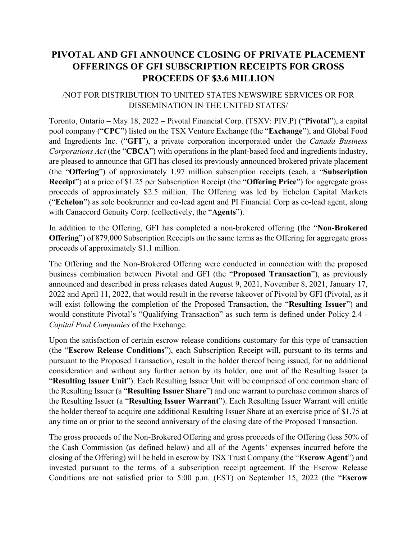# **PIVOTAL AND GFI ANNOUNCE CLOSING OF PRIVATE PLACEMENT OFFERINGS OF GFI SUBSCRIPTION RECEIPTS FOR GROSS PROCEEDS OF \$3.6 MILLION**

## /NOT FOR DISTRIBUTION TO UNITED STATES NEWSWIRE SERVICES OR FOR DISSEMINATION IN THE UNITED STATES/

Toronto, Ontario – May 18, 2022 – Pivotal Financial Corp. (TSXV: PIV.P) ("**Pivotal**"), a capital pool company ("**CPC**") listed on the TSX Venture Exchange (the "**Exchange**"), and Global Food and Ingredients Inc. ("**GFI**"), a private corporation incorporated under the *Canada Business Corporations Act* (the "**CBCA**") with operations in the plant-based food and ingredients industry, are pleased to announce that GFI has closed its previously announced brokered private placement (the "**Offering**") of approximately 1.97 million subscription receipts (each, a "**Subscription Receipt**") at a price of \$1.25 per Subscription Receipt (the "**Offering Price**") for aggregate gross proceeds of approximately \$2.5 million. The Offering was led by Echelon Capital Markets ("**Echelon**") as sole bookrunner and co-lead agent and PI Financial Corp as co-lead agent, along with Canaccord Genuity Corp. (collectively, the "**Agents**").

In addition to the Offering, GFI has completed a non-brokered offering (the "**Non-Brokered Offering**") of 879,000 Subscription Receipts on the same terms as the Offering for aggregate gross proceeds of approximately \$1.1 million.

The Offering and the Non-Brokered Offering were conducted in connection with the proposed business combination between Pivotal and GFI (the "**Proposed Transaction**"), as previously announced and described in press releases dated August 9, 2021, November 8, 2021, January 17, 2022 and April 11, 2022, that would result in the reverse takeover of Pivotal by GFI (Pivotal, as it will exist following the completion of the Proposed Transaction, the "**Resulting Issuer**") and would constitute Pivotal's "Qualifying Transaction" as such term is defined under Policy 2.4 - *Capital Pool Companies* of the Exchange.

Upon the satisfaction of certain escrow release conditions customary for this type of transaction (the "**Escrow Release Conditions**"), each Subscription Receipt will, pursuant to its terms and pursuant to the Proposed Transaction, result in the holder thereof being issued, for no additional consideration and without any further action by its holder, one unit of the Resulting Issuer (a "**Resulting Issuer Unit**"). Each Resulting Issuer Unit will be comprised of one common share of the Resulting Issuer (a "**Resulting Issuer Share**") and one warrant to purchase common shares of the Resulting Issuer (a "**Resulting Issuer Warrant**"). Each Resulting Issuer Warrant will entitle the holder thereof to acquire one additional Resulting Issuer Share at an exercise price of \$1.75 at any time on or prior to the second anniversary of the closing date of the Proposed Transaction.

The gross proceeds of the Non-Brokered Offering and gross proceeds of the Offering (less 50% of the Cash Commission (as defined below) and all of the Agents' expenses incurred before the closing of the Offering) will be held in escrow by TSX Trust Company (the "**Escrow Agent**") and invested pursuant to the terms of a subscription receipt agreement. If the Escrow Release Conditions are not satisfied prior to 5:00 p.m. (EST) on September 15, 2022 (the "**Escrow**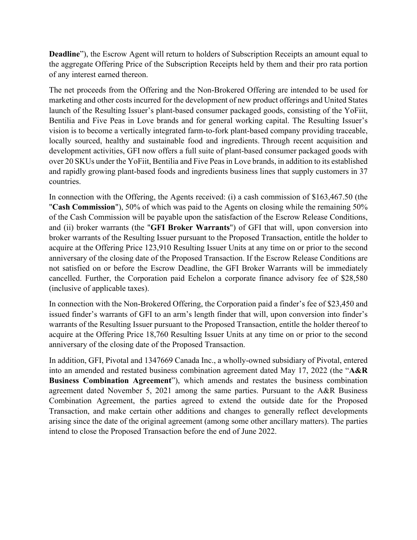**Deadline**"), the Escrow Agent will return to holders of Subscription Receipts an amount equal to the aggregate Offering Price of the Subscription Receipts held by them and their pro rata portion of any interest earned thereon.

The net proceeds from the Offering and the Non-Brokered Offering are intended to be used for marketing and other costs incurred for the development of new product offerings and United States launch of the Resulting Issuer's plant-based consumer packaged goods, consisting of the YoFiit, Bentilia and Five Peas in Love brands and for general working capital. The Resulting Issuer's vision is to become a vertically integrated farm-to-fork plant-based company providing traceable, locally sourced, healthy and sustainable food and ingredients. Through recent acquisition and development activities, GFI now offers a full suite of plant-based consumer packaged goods with over 20 SKUs under the YoFiit, Bentilia and Five Peas in Love brands, in addition to its established and rapidly growing plant-based foods and ingredients business lines that supply customers in 37 countries.

In connection with the Offering, the Agents received: (i) a cash commission of \$163,467.50 (the "**Cash Commission**"), 50% of which was paid to the Agents on closing while the remaining 50% of the Cash Commission will be payable upon the satisfaction of the Escrow Release Conditions, and (ii) broker warrants (the "**GFI Broker Warrants**") of GFI that will, upon conversion into broker warrants of the Resulting Issuer pursuant to the Proposed Transaction, entitle the holder to acquire at the Offering Price 123,910 Resulting Issuer Units at any time on or prior to the second anniversary of the closing date of the Proposed Transaction. If the Escrow Release Conditions are not satisfied on or before the Escrow Deadline, the GFI Broker Warrants will be immediately cancelled. Further, the Corporation paid Echelon a corporate finance advisory fee of \$28,580 (inclusive of applicable taxes).

In connection with the Non-Brokered Offering, the Corporation paid a finder's fee of \$23,450 and issued finder's warrants of GFI to an arm's length finder that will, upon conversion into finder's warrants of the Resulting Issuer pursuant to the Proposed Transaction, entitle the holder thereof to acquire at the Offering Price 18,760 Resulting Issuer Units at any time on or prior to the second anniversary of the closing date of the Proposed Transaction.

In addition, GFI, Pivotal and 1347669 Canada Inc., a wholly-owned subsidiary of Pivotal, entered into an amended and restated business combination agreement dated May 17, 2022 (the "**A&R Business Combination Agreement**"), which amends and restates the business combination agreement dated November 5, 2021 among the same parties. Pursuant to the A&R Business Combination Agreement, the parties agreed to extend the outside date for the Proposed Transaction, and make certain other additions and changes to generally reflect developments arising since the date of the original agreement (among some other ancillary matters). The parties intend to close the Proposed Transaction before the end of June 2022.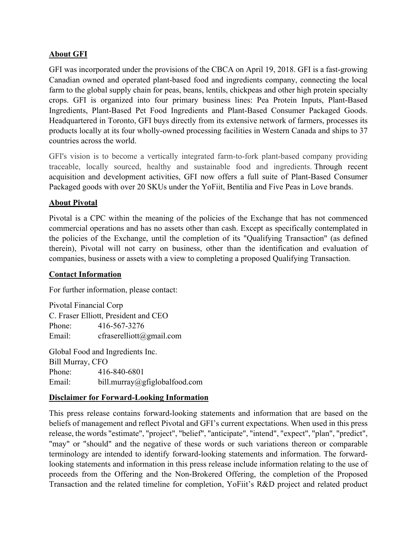### **About GFI**

GFI was incorporated under the provisions of the CBCA on April 19, 2018. GFI is a fast-growing Canadian owned and operated plant-based food and ingredients company, connecting the local farm to the global supply chain for peas, beans, lentils, chickpeas and other high protein specialty crops. GFI is organized into four primary business lines: Pea Protein Inputs, Plant-Based Ingredients, Plant-Based Pet Food Ingredients and Plant-Based Consumer Packaged Goods. Headquartered in Toronto, GFI buys directly from its extensive network of farmers, processes its products locally at its four wholly-owned processing facilities in Western Canada and ships to 37 countries across the world.

GFI's vision is to become a vertically integrated farm-to-fork plant-based company providing traceable, locally sourced, healthy and sustainable food and ingredients. Through recent acquisition and development activities, GFI now offers a full suite of Plant-Based Consumer Packaged goods with over 20 SKUs under the YoFiit, Bentilia and Five Peas in Love brands.

#### **About Pivotal**

Pivotal is a CPC within the meaning of the policies of the Exchange that has not commenced commercial operations and has no assets other than cash. Except as specifically contemplated in the policies of the Exchange, until the completion of its "Qualifying Transaction" (as defined therein), Pivotal will not carry on business, other than the identification and evaluation of companies, business or assets with a view to completing a proposed Qualifying Transaction.

#### **Contact Information**

For further information, please contact:

Pivotal Financial Corp C. Fraser Elliott, President and CEO Phone: 416-567-3276 Email: cfraserelliott@gmail.com

Global Food and Ingredients Inc. Bill Murray, CFO Phone: 416-840-6801 Email: bill.murray@gfiglobalfood.com

#### **Disclaimer for Forward-Looking Information**

This press release contains forward-looking statements and information that are based on the beliefs of management and reflect Pivotal and GFI's current expectations. When used in this press release, the words "estimate", "project", "belief", "anticipate", "intend", "expect", "plan", "predict", "may" or "should" and the negative of these words or such variations thereon or comparable terminology are intended to identify forward-looking statements and information. The forwardlooking statements and information in this press release include information relating to the use of proceeds from the Offering and the Non-Brokered Offering, the completion of the Proposed Transaction and the related timeline for completion, YoFiit's R&D project and related product